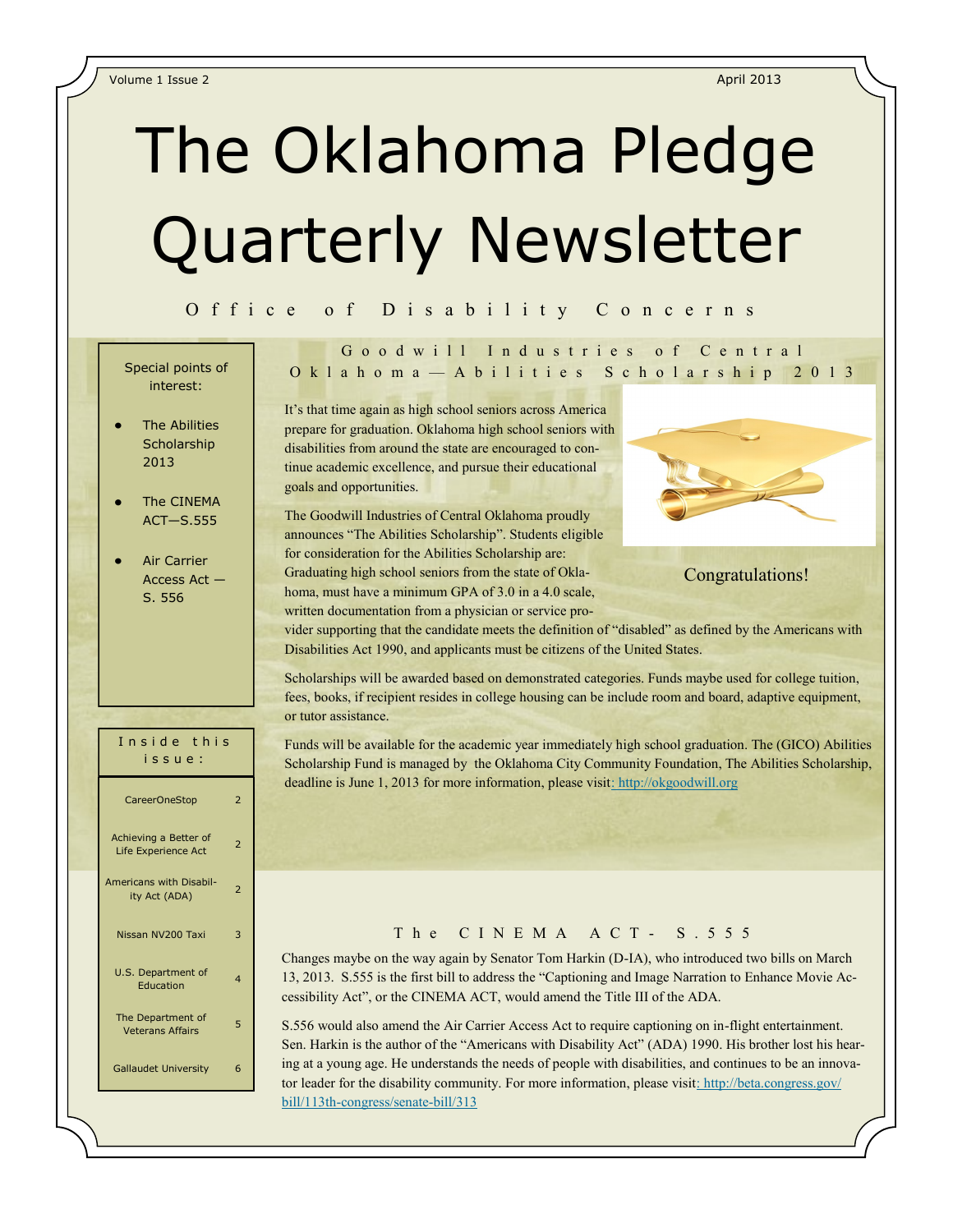# The Oklahoma Pledge Quarterly Newsletter

#### O f f i c e o f D i s a b i l i t y C o n c e r n s

# interest:

- The Abilities **Scholarship** 2013
- The CINEMA ACT—S.555
- Air Carrier Access Act — S. 556

# Goodwill Industries of Central O k l a h o m a — A b i l i t i e s S c h o l a r s h i p 2 0 1 3 Special points of

It's that time again as high school seniors across America prepare for graduation. Oklahoma high school seniors with disabilities from around the state are encouraged to continue academic excellence, and pursue their educational goals and opportunities.

The Goodwill Industries of Central Oklahoma proudly announces "The Abilities Scholarship". Students eligible for consideration for the Abilities Scholarship are: Graduating high school seniors from the state of Oklahoma, must have a minimum GPA of 3.0 in a 4.0 scale, written documentation from a physician or service pro-



Congratulations!

vider supporting that the candidate meets the definition of "disabled" as defined by the Americans with Disabilities Act 1990, and applicants must be citizens of the United States.

Scholarships will be awarded based on demonstrated categories. Funds maybe used for college tuition, fees, books, if recipient resides in college housing can be include room and board, adaptive equipment, or tutor assistance.

Funds will be available for the academic year immediately high school graduation. The (GICO) Abilities Scholarship Fund is managed by the Oklahoma City Community Foundation, The Abilities Scholarship, deadline is June 1, 2013 for more information, please visit[: http://okgoodwill.org](http://www.okgoodwill.org)

# I n s i d e t h i s i s s u e : CareerOneStop 2 Achieving a Better of Achieving a better of a settle 2 Americans with Disabil-Italis with Disabil-<br>ity Act (ADA) Nissan NV200 Taxi 3 U.S. Department of Education 4 The Department of The Department of the Big-Gallaudet University 6

#### The CINEMA ACT-S. 555

Changes maybe on the way again by Senator Tom Harkin (D-IA), who introduced two bills on March 13, 2013. S.555 is the first bill to address the "Captioning and Image Narration to Enhance Movie Accessibility Act", or the CINEMA ACT, would amend the Title III of the ADA.

S.556 would also amend the Air Carrier Access Act to require captioning on in-flight entertainment. Sen. Harkin is the author of the "Americans with Disability Act" (ADA) 1990. His brother lost his hearing at a young age. He understands the needs of people with disabilities, and continues to be an innova-tor leader for the disability community. For more information, please visit[: http://beta.congress.gov/](http://beta.congress.gov/bill/113th-congress/senate-bill/313) [bill/113th-congress/senate-bill/313](http://beta.congress.gov/bill/113th-congress/senate-bill/313)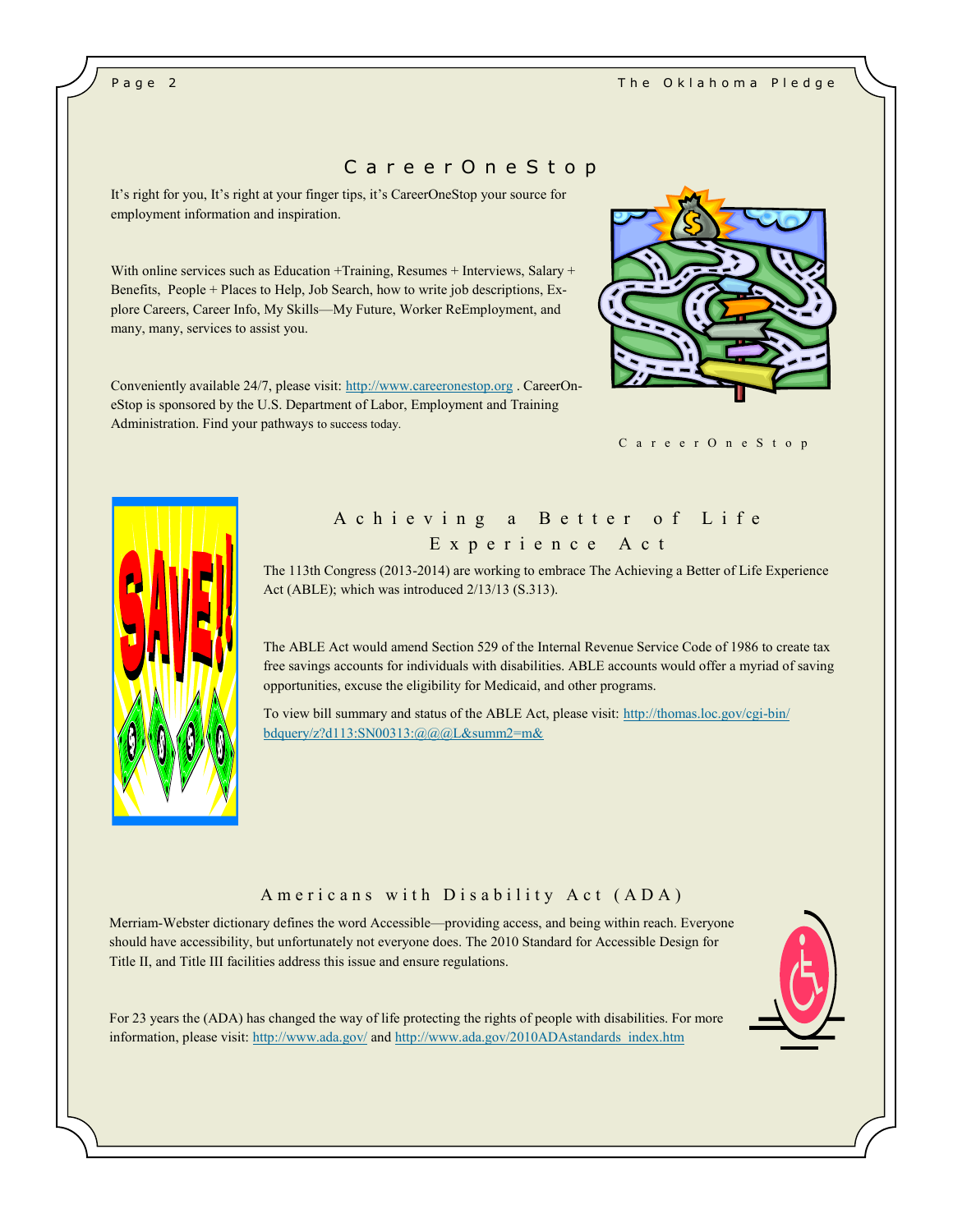# C a r e e r O n e S t o p

It's right for you, It's right at your finger tips, it's CareerOneStop your source for employment information and inspiration.

With online services such as Education +Training, Resumes + Interviews, Salary + Benefits, People + Places to Help, Job Search, how to write job descriptions, Explore Careers, Career Info, My Skills—My Future, Worker ReEmployment, and many, many, services to assist you.

Conveniently available 24/7, please visit: <http://www.careeronestop.org> . CareerOneStop is sponsored by the U.S. Department of Labor, Employment and Training Administration. Find your pathways to success today.



C a r e e r O n e S t o p



# A chieving a Better of Life E x p e r i e n c e A c t

The 113th Congress (2013-2014) are working to embrace The Achieving a Better of Life Experience Act (ABLE); which was introduced 2/13/13 (S.313).

The ABLE Act would amend Section 529 of the Internal Revenue Service Code of 1986 to create tax free savings accounts for individuals with disabilities. ABLE accounts would offer a myriad of saving opportunities, excuse the eligibility for Medicaid, and other programs.

To view bill summary and status of the ABLE Act, please visit: [http://thomas.loc.gov/cgi-bin/](http://thomas.loc.gov/cgi-bin/bdquery/z?d113:SN00313:@@@L&summ2=m&C:/Documents%20and%20Settings/107106/My%20Documents/My%20Music) [bdquery/z?d113:SN00313:@@@L&summ2=m&](http://thomas.loc.gov/cgi-bin/bdquery/z?d113:SN00313:@@@L&summ2=m&C:/Documents%20and%20Settings/107106/My%20Documents/My%20Music)

#### A m e ricans with Disability Act (ADA)

Merriam-Webster dictionary defines the word Accessible—providing access, and being within reach. Everyone should have accessibility, but unfortunately not everyone does. The 2010 Standard for Accessible Design for Title II, and Title III facilities address this issue and ensure regulations.



For 23 years the (ADA) has changed the way of life protecting the rights of people with disabilities. For more information, please visit:<http://www.ada.gov/> and [http://www.ada.gov/2010ADAstandards\\_index.htm](http://www.ada.gov/2010ADAstandards_index.htm)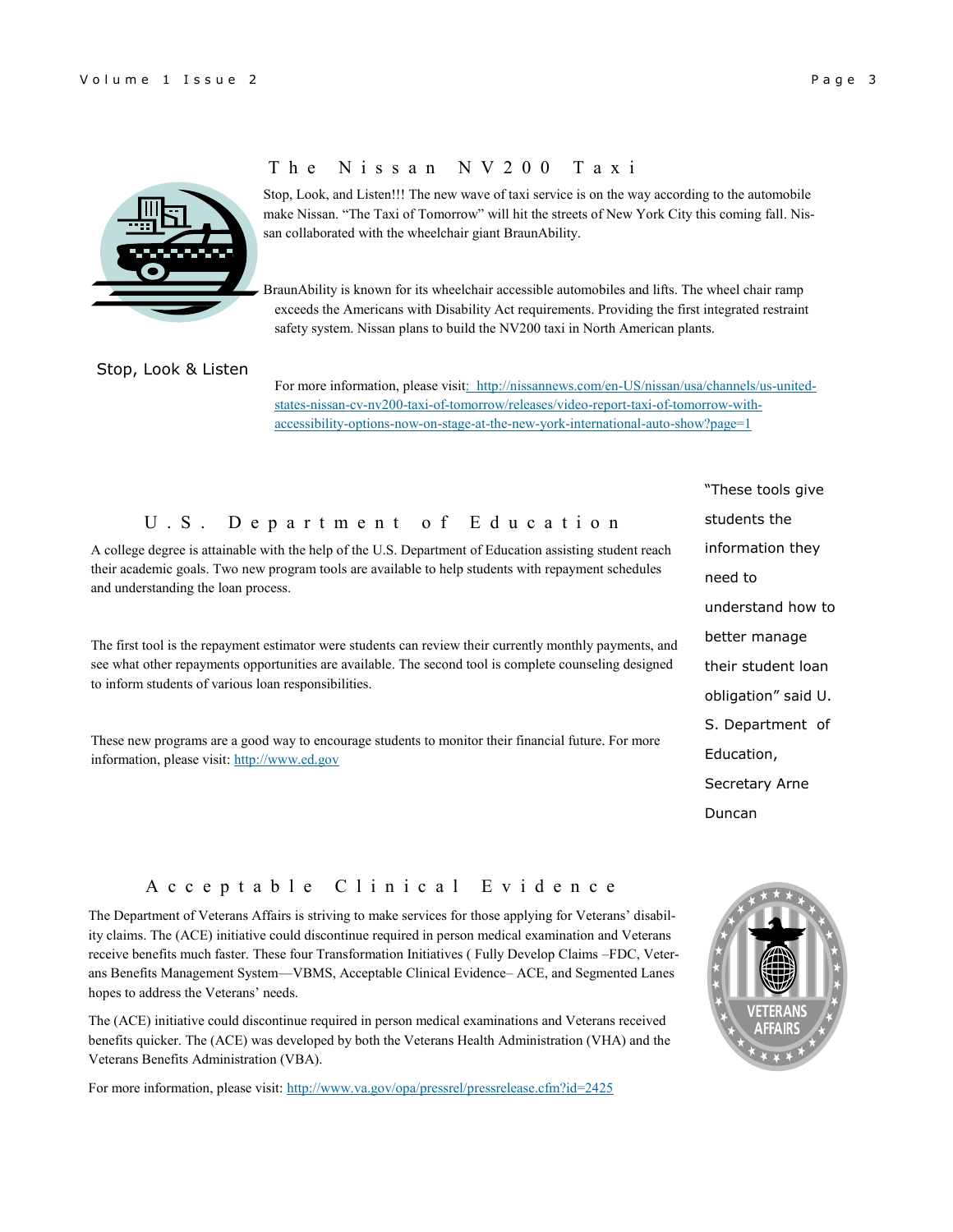

## T h e N i s s a n N V 2 0 0 T a x i

Stop, Look, and Listen!!! The new wave of taxi service is on the way according to the automobile make Nissan. "The Taxi of Tomorrow" will hit the streets of New York City this coming fall. Nissan collaborated with the wheelchair giant BraunAbility.

BraunAbility is known for its wheelchair accessible automobiles and lifts. The wheel chair ramp exceeds the Americans with Disability Act requirements. Providing the first integrated restraint safety system. Nissan plans to build the NV200 taxi in North American plants.

#### Stop, Look & Listen

For more information, please visi[t: http://nissannews.com/en-US/nissan/usa/channels/us-united](http://nissannews.com/en-US/nissan/usa/channels/us-united-states-nissan-cv-nv200-taxi-of-tomorrow/releases/video-report-taxi-of-tomorrow-with-accessibility-options-now-on-stage-at-the-new-york-international-auto-show?page=1)[states-nissan-cv-nv200-taxi-of-tomorrow/releases/video-report-taxi-of-tomorrow-with](http://nissannews.com/en-US/nissan/usa/channels/us-united-states-nissan-cv-nv200-taxi-of-tomorrow/releases/video-report-taxi-of-tomorrow-with-accessibility-options-now-on-stage-at-the-new-york-international-auto-show?page=1)[accessibility-options-now-on-stage-at-the-new-york-international-auto-show?page=1](http://nissannews.com/en-US/nissan/usa/channels/us-united-states-nissan-cv-nv200-taxi-of-tomorrow/releases/video-report-taxi-of-tomorrow-with-accessibility-options-now-on-stage-at-the-new-york-international-auto-show?page=1)

## U . S . D e p a r t m e n t o f E d u c a t i o n

A college degree is attainable with the help of the U.S. Department of Education assisting student reach their academic goals. Two new program tools are available to help students with repayment schedules and understanding the loan process.

The first tool is the repayment estimator were students can review their currently monthly payments, and see what other repayments opportunities are available. The second tool is complete counseling designed to inform students of various loan responsibilities.

These new programs are a good way to encourage students to monitor their financial future. For more information, please visit:<http://www.ed.gov>

"These tools give students the information they need to understand how to better manage their student loan obligation" said U. S. Department of Education, Secretary Arne Duncan

# A c c e p t a b l e C l i n i c a l E v i d e n c e

The Department of Veterans Affairs is striving to make services for those applying for Veterans' disability claims. The (ACE) initiative could discontinue required in person medical examination and Veterans receive benefits much faster. These four Transformation Initiatives ( Fully Develop Claims –FDC, Veterans Benefits Management System—VBMS, Acceptable Clinical Evidence– ACE, and Segmented Lanes hopes to address the Veterans' needs.

The (ACE) initiative could discontinue required in person medical examinations and Veterans received benefits quicker. The (ACE) was developed by both the Veterans Health Administration (VHA) and the Veterans Benefits Administration (VBA).

For more information, please visit:<http://www.va.gov/opa/pressrel/pressrelease.cfm?id=2425>